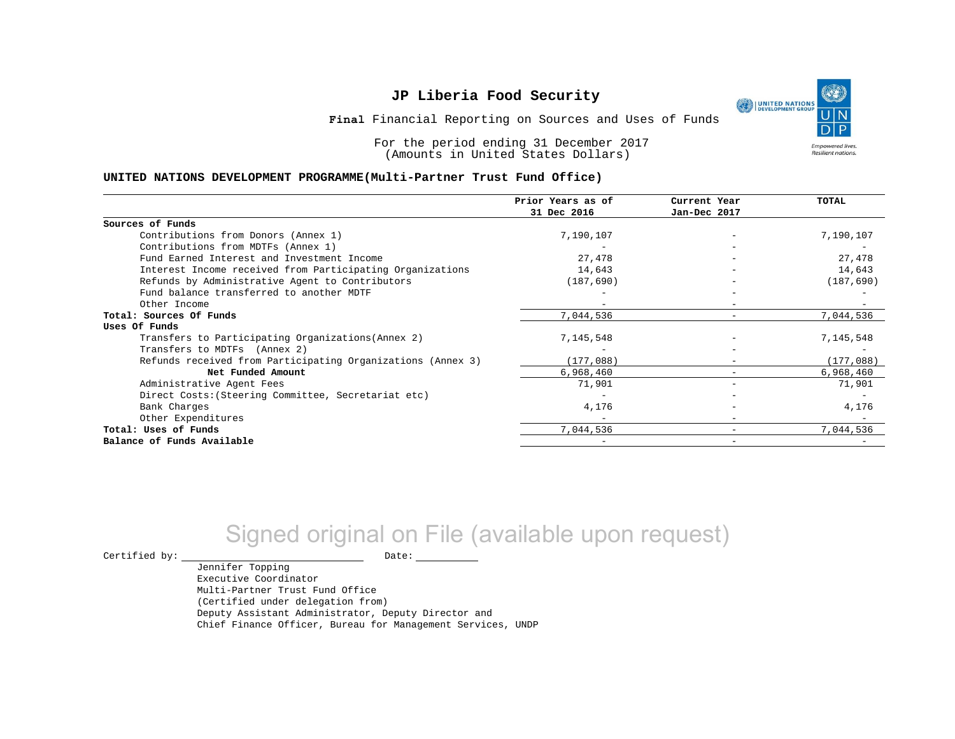٩ UNITED NATIONS **Empowered lives** Resilient nations.

**Final** Financial Reporting on Sources and Uses of Funds

For the period ending 31 December 2017 (Amounts in United States Dollars)

#### **UNITED NATIONS DEVELOPMENT PROGRAMME(Multi-Partner Trust Fund Office)**

|                                                             | Prior Years as of<br>31 Dec 2016 | Current Year<br>Jan-Dec 2017 | <b>TOTAL</b> |
|-------------------------------------------------------------|----------------------------------|------------------------------|--------------|
|                                                             |                                  |                              |              |
| Sources of Funds                                            |                                  |                              |              |
| Contributions from Donors (Annex 1)                         | 7,190,107                        |                              | 7,190,107    |
| Contributions from MDTFs (Annex 1)                          |                                  |                              |              |
| Fund Earned Interest and Investment Income                  | 27,478                           |                              | 27,478       |
| Interest Income received from Participating Organizations   | 14,643                           | $\overline{\phantom{0}}$     | 14,643       |
| Refunds by Administrative Agent to Contributors             | (187, 690)                       |                              | (187, 690)   |
| Fund balance transferred to another MDTF                    |                                  |                              |              |
| Other Income                                                |                                  | $-$                          |              |
| Total: Sources Of Funds                                     | 7,044,536                        |                              | 7,044,536    |
| Uses Of Funds                                               |                                  |                              |              |
| Transfers to Participating Organizations (Annex 2)          | 7,145,548                        |                              | 7,145,548    |
| Transfers to MDTFs (Annex 2)                                |                                  |                              |              |
| Refunds received from Participating Organizations (Annex 3) | (177,088)                        | -                            | (177,088)    |
| Net Funded Amount                                           | 6,968,460                        |                              | 6,968,460    |
| Administrative Agent Fees                                   | 71,901                           | -                            | 71,901       |
| Direct Costs: (Steering Committee, Secretariat etc)         |                                  |                              |              |
| Bank Charges                                                | 4,176                            |                              | 4,176        |
| Other Expenditures                                          |                                  | $\overline{\phantom{m}}$     |              |
| Total: Uses of Funds                                        | 7,044,536                        |                              | 7,044,536    |
| Balance of Funds Available                                  |                                  |                              |              |

# Signed original on File (available upon request)

 $\begin{picture}(180,180)(0,0) \put(0,0){\vector(1,0){180}} \put(15,0){\vector(1,0){180}} \put(15,0){\vector(1,0){180}} \put(15,0){\vector(1,0){180}} \put(15,0){\vector(1,0){180}} \put(15,0){\vector(1,0){180}} \put(15,0){\vector(1,0){180}} \put(15,0){\vector(1,0){180}} \put(15,0){\vector(1,0){180}} \put(15,0){\vector(1,0){180}} \put(15,0){\vector(1,0$ 

Jennifer Topping Executive Coordinator Multi-Partner Trust Fund Office (Certified under delegation from) Deputy Assistant Administrator, Deputy Director and Chief Finance Officer, Bureau for Management Services, UNDP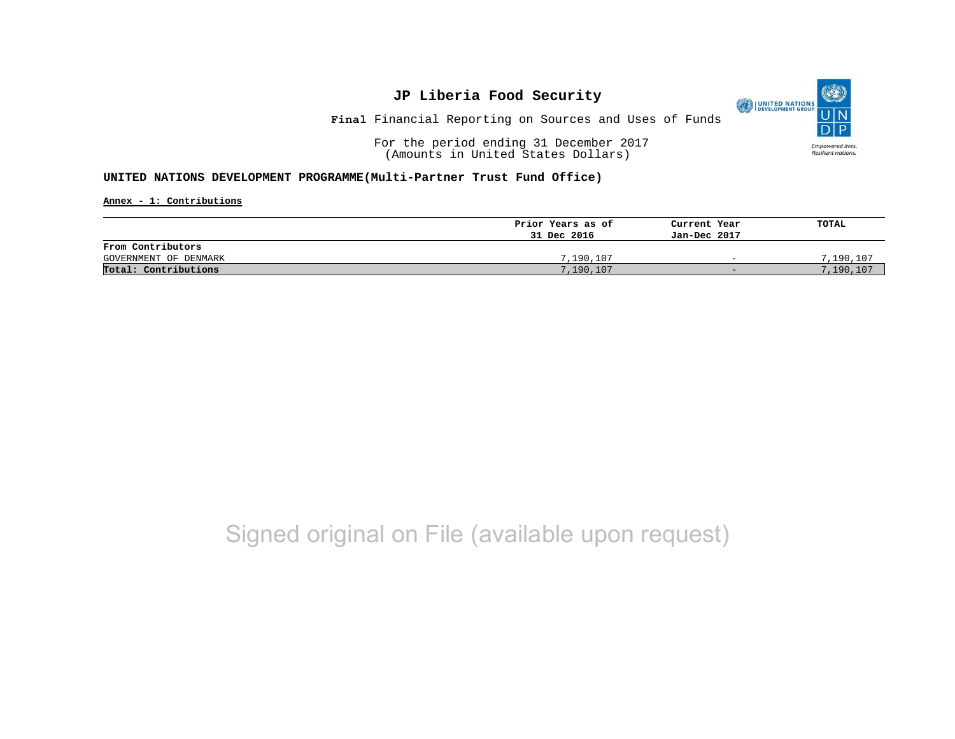(O UNITED NATIONS **Empowered lives** Resilient nations.

**Final** Financial Reporting on Sources and Uses of Funds

For the period ending 31 December 2017 (Amounts in United States Dollars)

### **UNITED NATIONS DEVELOPMENT PROGRAMME(Multi-Partner Trust Fund Office)**

**Annex - 1: Contributions**

|                       | Prior Years as of | Current Year             | TOTAL     |
|-----------------------|-------------------|--------------------------|-----------|
|                       | 31 Dec 2016       | Jan-Dec 2017             |           |
| From Contributors     |                   |                          |           |
| GOVERNMENT OF DENMARK | 7,190,107         | $\overline{\phantom{0}}$ | 7,190,107 |
| Total: Contributions  | 7,190,107         | $-$                      | 7,190,107 |

## Signed original on File (available upon request)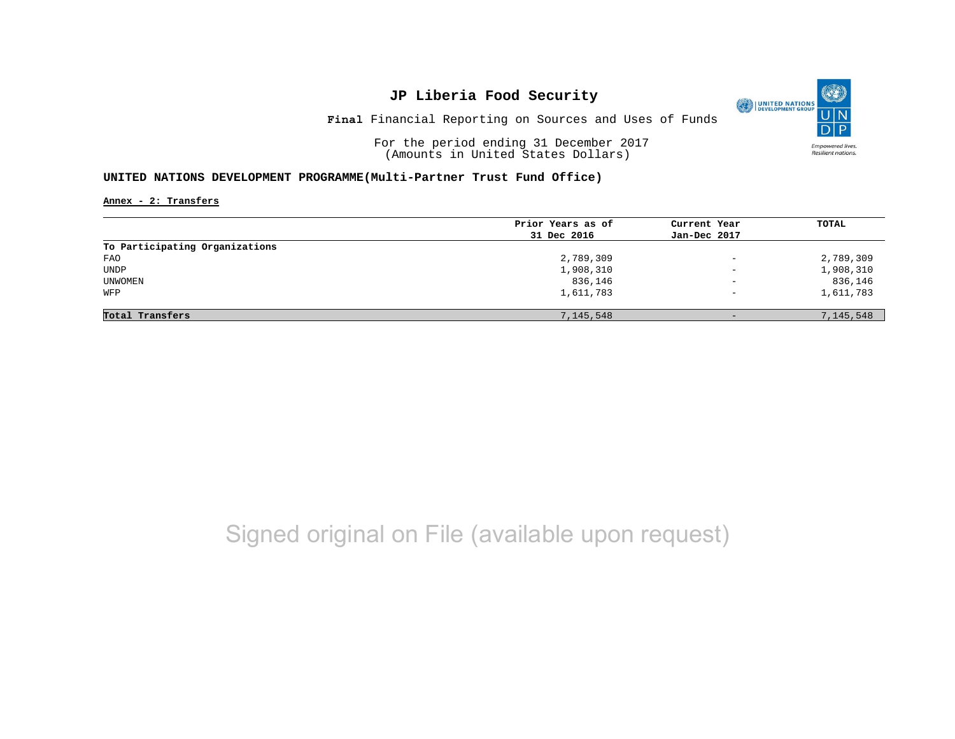O UNITED NATIONS **Empowered lives** Resilient nations.

**Final** Financial Reporting on Sources and Uses of Funds

For the period ending 31 December 2017 (Amounts in United States Dollars)

### **UNITED NATIONS DEVELOPMENT PROGRAMME(Multi-Partner Trust Fund Office)**

**Annex - 2: Transfers**

|                                | Prior Years as of | Current Year             | TOTAL     |
|--------------------------------|-------------------|--------------------------|-----------|
|                                | 31 Dec 2016       | Jan-Dec 2017             |           |
| To Participating Organizations |                   |                          |           |
| FAO                            | 2,789,309         | $\overline{\phantom{a}}$ | 2,789,309 |
| UNDP                           | 1,908,310         | $\overline{\phantom{m}}$ | 1,908,310 |
| UNWOMEN                        | 836,146           | $\qquad \qquad -$        | 836,146   |
| WFP                            | 1,611,783         | $\overline{\phantom{0}}$ | 1,611,783 |
|                                |                   |                          |           |
| Total Transfers                | 7,145,548         | $-$                      | 7,145,548 |

# Signed original on File (available upon request)